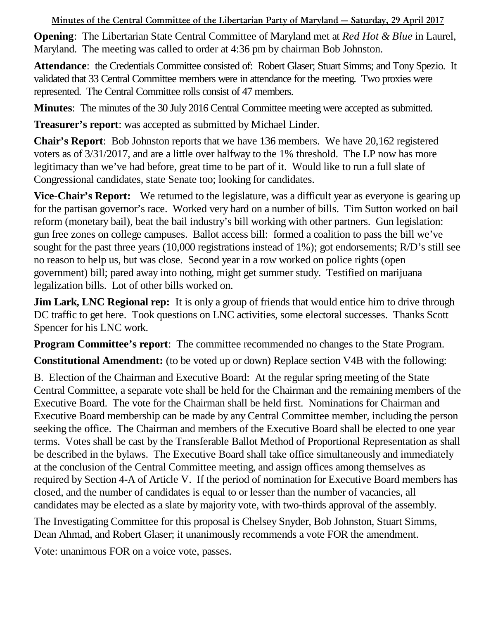**Minutes of the Central Committee of the Libertarian Party of Maryland — Saturday, 29 April 2017**

**Opening**: The Libertarian State Central Committee of Maryland met at *Red Hot & Blue* in Laurel, Maryland. The meeting was called to order at 4:36 pm by chairman Bob Johnston.

**Attendance**: the Credentials Committee consisted of: Robert Glaser; Stuart Simms; and Tony Spezio. It validated that 33 Central Committee members were in attendance for the meeting. Two proxies were represented. The Central Committee rolls consist of 47 members.

**Minutes**: The minutes of the 30 July 2016 Central Committee meeting were accepted as submitted.

**Treasurer's report**: was accepted as submitted by Michael Linder.

**Chair's Report**: Bob Johnston reports that we have 136 members. We have 20,162 registered voters as of 3/31/2017, and are a little over halfway to the 1% threshold. The LP now has more legitimacy than we've had before, great time to be part of it. Would like to run a full slate of Congressional candidates, state Senate too; looking for candidates.

**Vice-Chair's Report:** We returned to the legislature, was a difficult year as everyone is gearing up for the partisan governor's race. Worked very hard on a number of bills. Tim Sutton worked on bail reform (monetary bail), beat the bail industry's bill working with other partners. Gun legislation: gun free zones on college campuses. Ballot access bill: formed a coalition to pass the bill we've sought for the past three years (10,000 registrations instead of 1%); got endorsements; R/D's still see no reason to help us, but was close. Second year in a row worked on police rights (open government) bill; pared away into nothing, might get summer study. Testified on marijuana legalization bills. Lot of other bills worked on.

**Jim Lark, LNC Regional rep:** It is only a group of friends that would entice him to drive through DC traffic to get here. Took questions on LNC activities, some electoral successes. Thanks Scott Spencer for his LNC work.

**Program Committee's report**: The committee recommended no changes to the State Program.

**Constitutional Amendment:** (to be voted up or down) Replace section V4B with the following:

B. Election of the Chairman and Executive Board: At the regular spring meeting of the State Central Committee, a separate vote shall be held for the Chairman and the remaining members of the Executive Board. The vote for the Chairman shall be held first. Nominations for Chairman and Executive Board membership can be made by any Central Committee member, including the person seeking the office. The Chairman and members of the Executive Board shall be elected to one year terms. Votes shall be cast by the Transferable Ballot Method of Proportional Representation as shall be described in the bylaws. The Executive Board shall take office simultaneously and immediately at the conclusion of the Central Committee meeting, and assign offices among themselves as required by Section 4-A of Article V. If the period of nomination for Executive Board members has closed, and the number of candidates is equal to or lesser than the number of vacancies, all candidates may be elected as a slate by majority vote, with two-thirds approval of the assembly.

The Investigating Committee for this proposal is Chelsey Snyder, Bob Johnston, Stuart Simms, Dean Ahmad, and Robert Glaser; it unanimously recommends a vote FOR the amendment.

Vote: unanimous FOR on a voice vote, passes.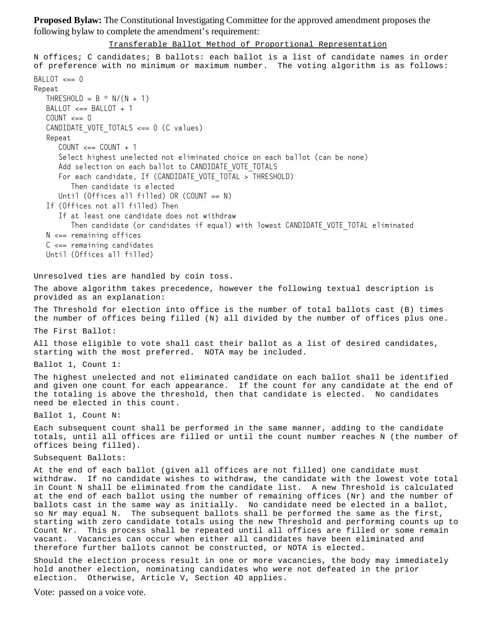**Proposed Bylaw:** The Constitutional Investigating Committee for the approved amendment proposes the following bylaw to complete the amendment's requirement:

Transferable Ballot Method of Proportional Representation

```
N offices; C candidates; B ballots: each ballot is a list of candidate names in order
of preference with no minimum or maximum number. The voting algorithm is as follows:
BALLOT \leq= 0Repeat
  THRESHOLD = B * N/(N + 1)BALLOT \leq = BALLOT + 1COLINT \leq = 0CANDIDATE VOTE TOTALS \leq= 0 (C values)
   Repeat
     COUNT \leq = COUNT + 1
      Select highest unelected not eliminated choice on each ballot (can be none)
     Add selection on each ballot to CANDIDATE VOTE TOTALS
     For each candidate, If (CANDIDATE VOTE TOTAL > THRESHOLD)
         Then candidate is elected
     Until (Offices all filled) OR (COUNT == N)
   If (Offices not all filled) Then
      If at least one candidate does not withdraw
        Then candidate (or candidates if equal) with lowest CANDIDATE VOTE TOTAL eliminated
  N \leq 1 remaining offices
  C \leq 2 remaining candidates
   Until (Offices all filled)
Unresolved ties are handled by coin toss.
The above algorithm takes precedence, however the following textual description is
provided as an explanation:
The Threshold for election into office is the number of total ballots cast (B) times
the number of offices being filled (N) all divided by the number of offices plus one.
The First Ballot:
All those eligible to vote shall cast their ballot as a list of desired candidates,
starting with the most preferred. NOTA may be included.
Ballot 1, Count 1:
The highest unelected and not eliminated candidate on each ballot shall be identified
and given one count for each appearance. If the count for any candidate at the end of
the totaling is above the threshold, then that candidate is elected. No candidates
need be elected in this count.
Ballot 1, Count N:
Each subsequent count shall be performed in the same manner, adding to the candidate
totals, until all offices are filled or until the count number reaches N (the number of
offices being filled).
Subsequent Ballots:
At the end of each ballot (given all offices are not filled) one candidate must
withdraw. If no candidate wishes to withdraw, the candidate with the lowest vote total
in Count N shall be eliminated from the candidate list. A new Threshold is calculated
at the end of each ballot using the number of remaining offices (Nr) and the number of
ballots cast in the same way as initially. No candidate need be elected in a ballot,
so Nr may equal N. The subsequent ballots shall be performed the same as the first,
starting with zero candidate totals using the new Threshold and performing counts up to
Count Nr. This process shall be repeated until all offices are filled or some remain
vacant. Vacancies can occur when either all candidates have been eliminated and
therefore further ballots cannot be constructed, or NOTA is elected.
Should the election process result in one or more vacancies, the body may immediately
hold another election, nominating candidates who were not defeated in the prior
```
Vote: passed on a voice vote.

election. Otherwise, Article V, Section 4D applies.